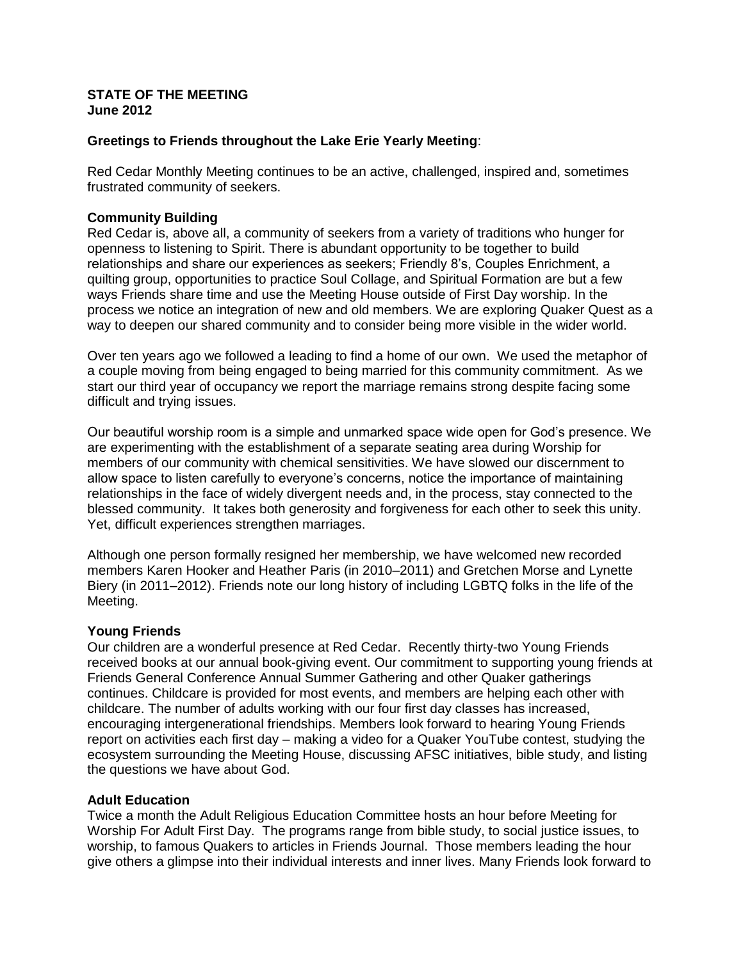#### **STATE OF THE MEETING June 2012**

# **Greetings to Friends throughout the Lake Erie Yearly Meeting**:

Red Cedar Monthly Meeting continues to be an active, challenged, inspired and, sometimes frustrated community of seekers.

# **Community Building**

Red Cedar is, above all, a community of seekers from a variety of traditions who hunger for openness to listening to Spirit. There is abundant opportunity to be together to build relationships and share our experiences as seekers; Friendly 8's, Couples Enrichment, a quilting group, opportunities to practice Soul Collage, and Spiritual Formation are but a few ways Friends share time and use the Meeting House outside of First Day worship. In the process we notice an integration of new and old members. We are exploring Quaker Quest as a way to deepen our shared community and to consider being more visible in the wider world.

Over ten years ago we followed a leading to find a home of our own. We used the metaphor of a couple moving from being engaged to being married for this community commitment. As we start our third year of occupancy we report the marriage remains strong despite facing some difficult and trying issues.

Our beautiful worship room is a simple and unmarked space wide open for God's presence. We are experimenting with the establishment of a separate seating area during Worship for members of our community with chemical sensitivities. We have slowed our discernment to allow space to listen carefully to everyone's concerns, notice the importance of maintaining relationships in the face of widely divergent needs and, in the process, stay connected to the blessed community. It takes both generosity and forgiveness for each other to seek this unity. Yet, difficult experiences strengthen marriages.

Although one person formally resigned her membership, we have welcomed new recorded members Karen Hooker and Heather Paris (in 2010–2011) and Gretchen Morse and Lynette Biery (in 2011–2012). Friends note our long history of including LGBTQ folks in the life of the Meeting.

## **Young Friends**

Our children are a wonderful presence at Red Cedar. Recently thirty-two Young Friends received books at our annual book-giving event. Our commitment to supporting young friends at Friends General Conference Annual Summer Gathering and other Quaker gatherings continues. Childcare is provided for most events, and members are helping each other with childcare. The number of adults working with our four first day classes has increased, encouraging intergenerational friendships. Members look forward to hearing Young Friends report on activities each first day – making a video for a Quaker YouTube contest, studying the ecosystem surrounding the Meeting House, discussing AFSC initiatives, bible study, and listing the questions we have about God.

## **Adult Education**

Twice a month the Adult Religious Education Committee hosts an hour before Meeting for Worship For Adult First Day. The programs range from bible study, to social justice issues, to worship, to famous Quakers to articles in Friends Journal. Those members leading the hour give others a glimpse into their individual interests and inner lives. Many Friends look forward to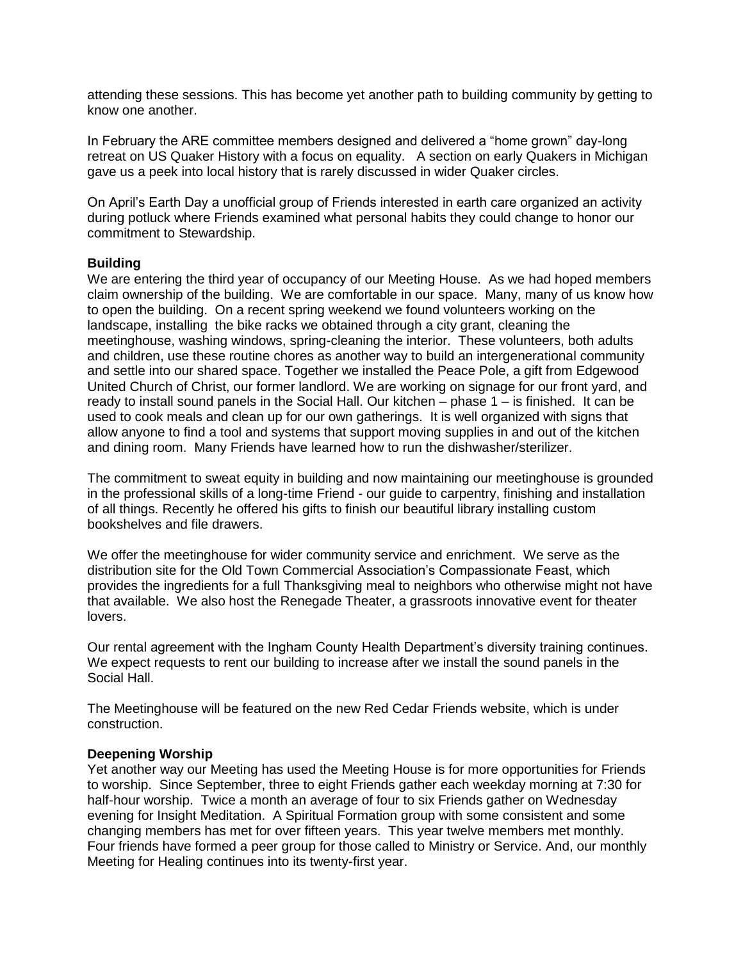attending these sessions. This has become yet another path to building community by getting to know one another.

In February the ARE committee members designed and delivered a "home grown" day-long retreat on US Quaker History with a focus on equality. A section on early Quakers in Michigan gave us a peek into local history that is rarely discussed in wider Quaker circles.

On April's Earth Day a unofficial group of Friends interested in earth care organized an activity during potluck where Friends examined what personal habits they could change to honor our commitment to Stewardship.

## **Building**

We are entering the third year of occupancy of our Meeting House. As we had hoped members claim ownership of the building. We are comfortable in our space. Many, many of us know how to open the building. On a recent spring weekend we found volunteers working on the landscape, installing the bike racks we obtained through a city grant, cleaning the meetinghouse, washing windows, spring-cleaning the interior. These volunteers, both adults and children, use these routine chores as another way to build an intergenerational community and settle into our shared space. Together we installed the Peace Pole, a gift from Edgewood United Church of Christ, our former landlord. We are working on signage for our front yard, and ready to install sound panels in the Social Hall. Our kitchen – phase 1 – is finished. It can be used to cook meals and clean up for our own gatherings. It is well organized with signs that allow anyone to find a tool and systems that support moving supplies in and out of the kitchen and dining room. Many Friends have learned how to run the dishwasher/sterilizer.

The commitment to sweat equity in building and now maintaining our meetinghouse is grounded in the professional skills of a long-time Friend - our guide to carpentry, finishing and installation of all things. Recently he offered his gifts to finish our beautiful library installing custom bookshelves and file drawers.

We offer the meetinghouse for wider community service and enrichment. We serve as the distribution site for the Old Town Commercial Association's Compassionate Feast, which provides the ingredients for a full Thanksgiving meal to neighbors who otherwise might not have that available. We also host the Renegade Theater, a grassroots innovative event for theater lovers.

Our rental agreement with the Ingham County Health Department's diversity training continues. We expect requests to rent our building to increase after we install the sound panels in the Social Hall.

The Meetinghouse will be featured on the new Red Cedar Friends website, which is under construction.

## **Deepening Worship**

Yet another way our Meeting has used the Meeting House is for more opportunities for Friends to worship. Since September, three to eight Friends gather each weekday morning at 7:30 for half-hour worship. Twice a month an average of four to six Friends gather on Wednesday evening for Insight Meditation. A Spiritual Formation group with some consistent and some changing members has met for over fifteen years. This year twelve members met monthly. Four friends have formed a peer group for those called to Ministry or Service. And, our monthly Meeting for Healing continues into its twenty-first year.